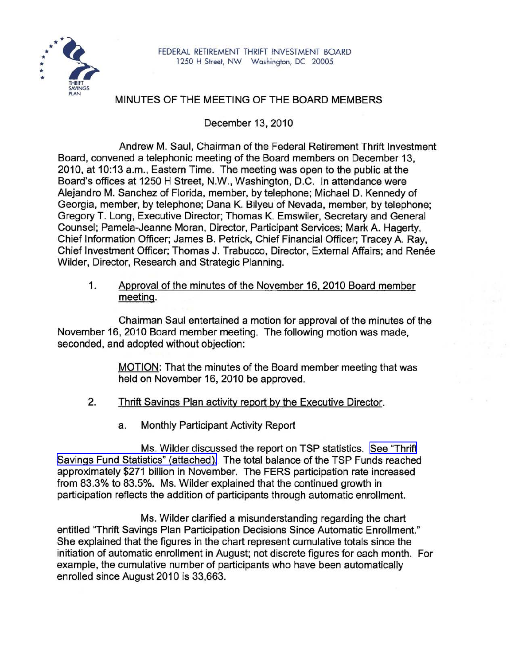

## MINUTES OF THE MEETING OF THE BOARD MEMBERS

December 13, 2010

Andrew M. Saul, Chairman of the Federal Retirement Thrift Investment Board, convened a telephonic meeting of the Board members on December 13, 2010, at 10:13 a.m., Eastern Time. The meeting was open to the public at the Board's offices at 1250 H Street, N.W., Washington, D.C. In attendance were Alejandro M. Sanchez of Florida, member, by telephone; Michael D. Kennedy of Georgia, member, by telephone; Dana K. Bilyeu of Nevada, member, by telephone; Gregory T. Long, Executive Director; Thomas K. Emswiler, Secretary and General Counsel; Pamela-Jeanne Moran, Director, Participant Services; Mark A. Hagerty, Chief Information Officer; James B. Petrick, Chief Financial Officer; Tracey A. Ray, Chief Investment Officer; Thomas J. Trabucco, Director, External Affairs; and Renée Wilder, Director, Research and Strategic Planning.

1. Approval of the minutes of the November 16. 2010 Board member meeting.

Chairman Saul entertained a motion for approval of the minutes of the November 16, 2010 Board member meeting. The following motion was made, seconded, and adopted without objection:

> MOTION: That the minutes of the Board member meeting that was held on November 16, 2010 be approved.

- 2. Thrift Savings Plan activity report by the Executive Director.
	- a. Monthly Participant Activity Report

Ms. Wilder discussed the report on TSP statistics. See ["Thrift](http://www.frtib.gov/pdf/minutes/MM-2010Dec-Att1.pdf) Savings Fund Statistics" [\(attached\).](http://www.frtib.gov/pdf/minutes/MM-2010Dec-Att1.pdf) The total balance of the TSP Funds reached approximately \$271 billion in November. The FERS participation rate increased from 83.3% to 83.5%. Ms. Wilder explained that the continued growth in participation reflects the addition of participants through automatic enrollment.

Ms. Wilder clarified a misunderstanding regarding the chart entitled "Thrift Savings Plan Participation Decisions Since Automatic Enrollment." She explained that the figures in the chart represent cumulative totals since the initiation of automatic enrollment in August; not discrete figures for each month. For example, the cumulative number of participants who have been automatically enrolled since August 2010 is 33,663.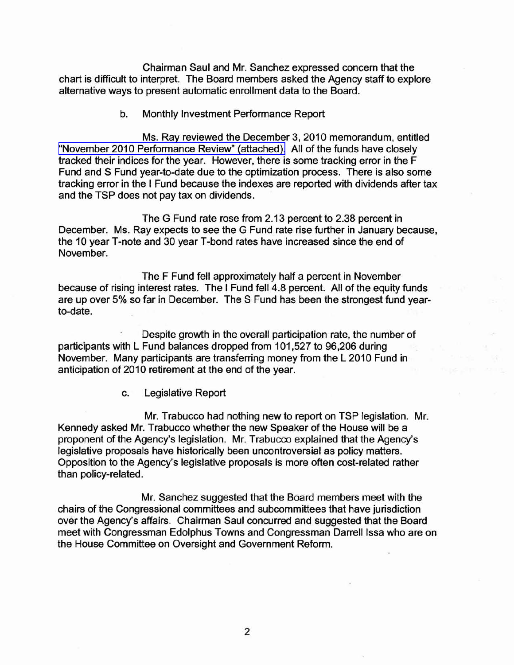Chairman Saul and Mr. Sanchez expressed concern that the chart is difficult to interpret. The Board members asked the Agency staff to explore alternative ways to present automatic enrollment data to the Board.

b. Monthly Investment Performance Report

Ms. Ray reviewed the December 3, 2010 memorandum, entitled "November 2010 [Performance](http://www.frtib.gov/pdf/minutes/MM-2010Dec-Att2.pdf) Review" (attached). All of the funds have closely tracked their indices for the year. However, there is some tracking error in the F Fund and S Fund year-to-date due to the optimization process. There is also some tracking error in the I Fund because the indexes are reported with dividends after tax and the TSP does not pay tax on dividends.

The G Fund rate rose from 2.13 percent to 2.38 percent in December. Ms. Ray expects to see the G Fund rate rise further in January because, the 10 year T-note and 30 year T-bond rates have increased since the end of November.

The F Fund fell approximately half a percent in November because of rising interest rates. The I Fund fell 4.8 percent. All of the equity funds are up over 5% so far in December. The S Fund has been the strongest fund yearto-date.

Despite growth in the overall participation rate, the number of participants with L Fund balances dropped from 101,527 to 96,206 during November. Many participants are transferring money from the L 2010 Fund in anticipation of 2010 retirement at the end of the year.

c. Legislative Report

Mr. Trabucco had nothing new to report on TSP legislation. Mr. Kennedy asked Mr. Trabucco whether the new Speaker of the House will be a proponent of the Agency's legislation. Mr. Trabucco explained that the Agency's legislative proposals have historically been uncontroversial as policy matters. Opposition to the Agency's legislative proposals is more often cost-related rather than policy-related.

Mr. Sanchez suggested that the Board members meet with the chairs of the Congressional committees and subcommittees that have jurisdiction over the Agency's affairs. Chairman Saul concurred and suggested that the Board meet with Congressman Edolphus Towns and Congressman Darrell Issa who are on the House Committee on Oversight and Government Reform.